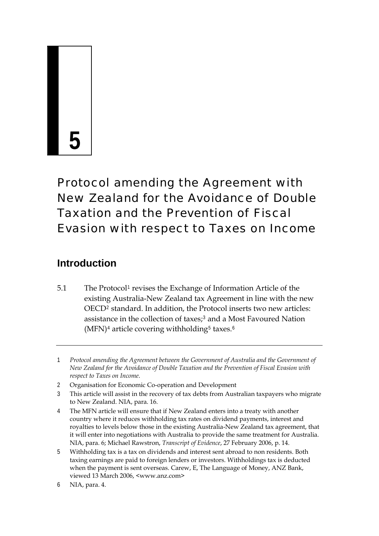# **5**

# Protocol amending the Agreement with New Zealand for the Avoidance of Double Taxation and the Prevention of Fiscal Evasion with respect to Taxes on Income

# **Introduction**

5.[1](#page-0-0) The Protocol<sup>1</sup> revises the Exchange of Information Article of the existing Australia-New Zealand tax Agreement in line with the new OECD[2](#page-0-1) standard. In addition, the Protocol inserts two new articles: assistance in the collection of taxes;[3](#page-0-2) and a Most Favoured Nation  $(MFN)^4$  $(MFN)^4$  article covering withholding<sup>[5](#page-0-4)</sup> taxes.<sup>[6](#page-0-5)</sup>

<span id="page-0-1"></span>2 Organisation for Economic Co-operation and Development

<span id="page-0-0"></span><sup>1</sup> *Protocol amending the Agreement between the Government of Australia and the Government of New Zealand for the Avoidance of Double Taxation and the Prevention of Fiscal Evasion with respect to Taxes on Income*.

<span id="page-0-2"></span><sup>3</sup> This article will assist in the recovery of tax debts from Australian taxpayers who migrate to New Zealand. NIA, para. 16.

<span id="page-0-3"></span><sup>4</sup> The MFN article will ensure that if New Zealand enters into a treaty with another country where it reduces withholding tax rates on dividend payments, interest and royalties to levels below those in the existing Australia-New Zealand tax agreement, that it will enter into negotiations with Australia to provide the same treatment for Australia. NIA, para. 6; Michael Rawstron, *Transcript of Evidence*, 27 February 2006, p. 14.

<span id="page-0-4"></span><sup>5</sup> Withholding tax is a tax on dividends and interest sent abroad to non residents. Both taxing earnings are paid to foreign lenders or investors. Withholdings tax is deducted when the payment is sent overseas. Carew, E, The Language of Money, ANZ Bank, viewed 13 March 2006, <www.anz.com>

<span id="page-0-5"></span><sup>6</sup> NIA, para. 4.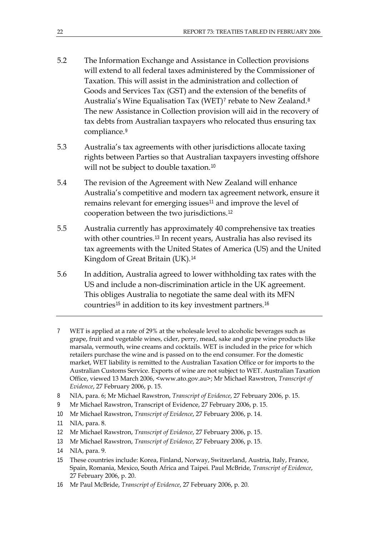- 5.2 The Information Exchange and Assistance in Collection provisions will extend to all federal taxes administered by the Commissioner of Taxation. This will assist in the administration and collection of Goods and Services Tax (GST) and the extension of the benefits of Australia's Wine Equalisation Tax (WET)<sup>[7](#page-1-0)</sup> rebate to New Zealand.<sup>[8](#page-1-1)</sup> The new Assistance in Collection provision will aid in the recovery of tax debts from Australian taxpayers who relocated thus ensuring tax compliance.<sup>[9](#page-1-2)</sup>
- 5.3 Australia's tax agreements with other jurisdictions allocate taxing rights between Parties so that Australian taxpayers investing offshore will not be subject to double taxation.<sup>[10](#page-1-3)</sup>
- 5.4 The revision of the Agreement with New Zealand will enhance Australia's competitive and modern tax agreement network, ensure it remains relevant for emerging issues<sup>[11](#page-1-4)</sup> and improve the level of cooperation between the two jurisdictions.[12](#page-1-5)
- 5.5 Australia currently has approximately 40 comprehensive tax treaties with other countries.[13](#page-1-6) In recent years, Australia has also revised its tax agreements with the United States of America (US) and the United Kingdom of Great Britain (UK).[14](#page-1-7)
- 5.6 In addition, Australia agreed to lower withholding tax rates with the US and include a non-discrimination article in the UK agreement. This obliges Australia to negotiate the same deal with its MFN countries<sup>[15](#page-1-8)</sup> in addition to its key investment partners.<sup>[16](#page-1-9)</sup>
- <span id="page-1-0"></span>7 WET is applied at a rate of 29% at the wholesale level to alcoholic beverages such as grape, fruit and vegetable wines, cider, perry, mead, sake and grape wine products like marsala, vermouth, wine creams and cocktails. WET is included in the price for which retailers purchase the wine and is passed on to the end consumer. For the domestic market, WET liability is remitted to the Australian Taxation Office or for imports to the Australian Customs Service. Exports of wine are not subject to WET. Australian Taxation Office, viewed 13 March 2006, <www.ato.gov.au>; Mr Michael Rawstron, *Transcript of Evidence*, 27 February 2006, p. 15.
- <span id="page-1-1"></span>8 NIA, para. 6; Mr Michael Rawstron, *Transcript of Evidence*, 27 February 2006, p. 15.
- <span id="page-1-2"></span>9 Mr Michael Rawstron, Transcript of Evidence, 27 February 2006, p. 15.
- <span id="page-1-3"></span>10 Mr Michael Rawstron, *Transcript of Evidence*, 27 February 2006, p. 14.
- <span id="page-1-4"></span>11 NIA, para. 8.
- <span id="page-1-5"></span>12 Mr Michael Rawstron, *Transcript of Evidence*, 27 February 2006, p. 15.
- <span id="page-1-6"></span>13 Mr Michael Rawstron, *Transcript of Evidence*, 27 February 2006, p. 15.
- <span id="page-1-7"></span>14 NIA, para. 9.
- <span id="page-1-8"></span>15 These countries include: Korea, Finland, Norway, Switzerland, Austria, Italy, France, Spain, Romania, Mexico, South Africa and Taipei. Paul McBride, *Transcript of Evidence*, 27 February 2006, p. 20.
- <span id="page-1-9"></span>16 Mr Paul McBride, *Transcript of Evidence*, 27 February 2006, p. 20.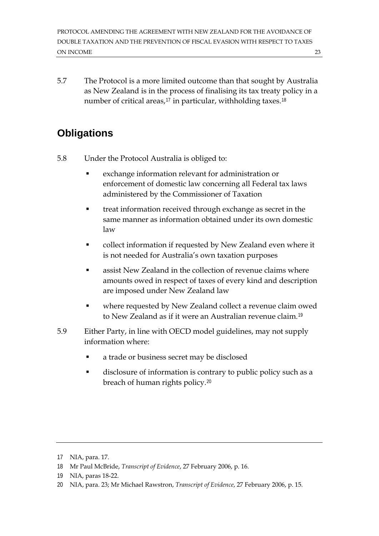5.7 The Protocol is a more limited outcome than that sought by Australia as New Zealand is in the process of finalising its tax treaty policy in a number of critical areas, $17$  in particular, withholding taxes. $18$ 

# **Obligations**

- 5.8 Under the Protocol Australia is obliged to:
	- exchange information relevant for administration or enforcement of domestic law concerning all Federal tax laws administered by the Commissioner of Taxation
	- treat information received through exchange as secret in the same manner as information obtained under its own domestic law
	- collect information if requested by New Zealand even where it is not needed for Australia's own taxation purposes
	- **EXEC** assist New Zealand in the collection of revenue claims where amounts owed in respect of taxes of every kind and description are imposed under New Zealand law
	- where requested by New Zealand collect a revenue claim owed to New Zealand as if it were an Australian revenue claim.[19](#page-2-2)
- 5.9 Either Party, in line with OECD model guidelines, may not supply information where:
	- a trade or business secret may be disclosed
	- disclosure of information is contrary to public policy such as a breach of human rights policy.[20](#page-2-3)

<span id="page-2-0"></span><sup>17</sup> NIA, para. 17.

<span id="page-2-1"></span><sup>18</sup> Mr Paul McBride, *Transcript of Evidence*, 27 February 2006, p. 16.

<span id="page-2-2"></span><sup>19</sup> NIA, paras 18-22.

<span id="page-2-3"></span><sup>20</sup> NIA, para. 23; Mr Michael Rawstron, *Transcript of Evidence*, 27 February 2006, p. 15.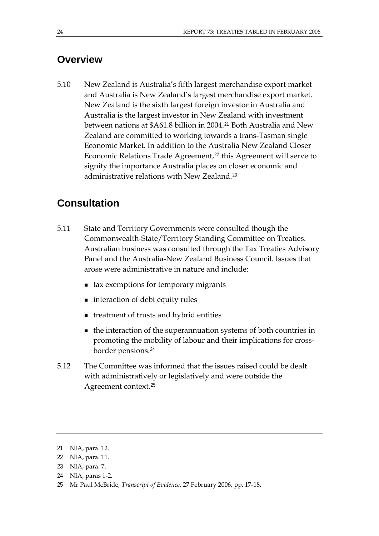#### **Overview**

5.10 New Zealand is Australia's fifth largest merchandise export market and Australia is New Zealand's largest merchandise export market. New Zealand is the sixth largest foreign investor in Australia and Australia is the largest investor in New Zealand with investment between nations at \$A61.8 billion in 2004.[21](#page-3-0) Both Australia and New Zealand are committed to working towards a trans-Tasman single Economic Market. In addition to the Australia New Zealand Closer Economic Relations Trade Agreement,<sup>[22](#page-3-1)</sup> this Agreement will serve to signify the importance Australia places on closer economic and administrative relations with New Zealand.[23](#page-3-2)

# **Consultation**

- 5.11 State and Territory Governments were consulted though the Commonwealth-State/Territory Standing Committee on Treaties. Australian business was consulted through the Tax Treaties Advisory Panel and the Australia-New Zealand Business Council. Issues that arose were administrative in nature and include:
	- tax exemptions for temporary migrants
	- interaction of debt equity rules
	- treatment of trusts and hybrid entities
	- the interaction of the superannuation systems of both countries in promoting the mobility of labour and their implications for crossborder pensions.[24](#page-3-3)
- 5.12 The Committee was informed that the issues raised could be dealt with administratively or legislatively and were outside the Agreement context.[25](#page-3-4)

<span id="page-3-0"></span><sup>21</sup> NIA, para. 12.

<span id="page-3-1"></span><sup>22</sup> NIA, para. 11.

<span id="page-3-2"></span><sup>23</sup> NIA, para. 7.

<span id="page-3-3"></span><sup>24</sup> NIA, paras 1-2.

<span id="page-3-4"></span><sup>25</sup> Mr Paul McBride, *Transcript of Evidence*, 27 February 2006, pp. 17-18.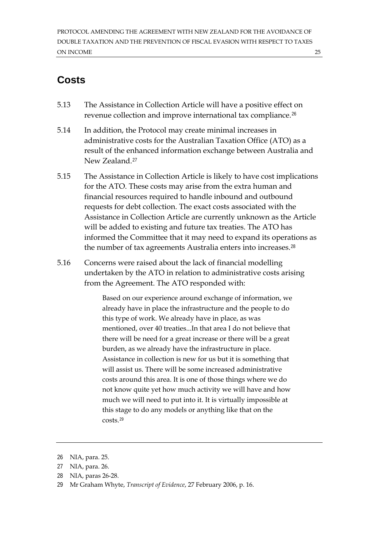# **Costs**

- 5.13 The Assistance in Collection Article will have a positive effect on revenue collection and improve international tax compliance.[26](#page-4-0)
- 5.14 In addition, the Protocol may create minimal increases in administrative costs for the Australian Taxation Office (ATO) as a result of the enhanced information exchange between Australia and New Zealand.[27](#page-4-1)
- 5.15 The Assistance in Collection Article is likely to have cost implications for the ATO. These costs may arise from the extra human and financial resources required to handle inbound and outbound requests for debt collection. The exact costs associated with the Assistance in Collection Article are currently unknown as the Article will be added to existing and future tax treaties. The ATO has informed the Committee that it may need to expand its operations as the number of tax agreements Australia enters into increases.<sup>[28](#page-4-2)</sup>
- 5.16 Concerns were raised about the lack of financial modelling undertaken by the ATO in relation to administrative costs arising from the Agreement. The ATO responded with:

Based on our experience around exchange of information, we already have in place the infrastructure and the people to do this type of work. We already have in place, as was mentioned, over 40 treaties...In that area I do not believe that there will be need for a great increase or there will be a great burden, as we already have the infrastructure in place. Assistance in collection is new for us but it is something that will assist us. There will be some increased administrative costs around this area. It is one of those things where we do not know quite yet how much activity we will have and how much we will need to put into it. It is virtually impossible at this stage to do any models or anything like that on the costs.[29](#page-4-3)

- <span id="page-4-2"></span>28 NIA, paras 26-28.
- <span id="page-4-3"></span>29 Mr Graham Whyte, *Transcript of Evidence*, 27 February 2006, p. 16.

<span id="page-4-0"></span><sup>26</sup> NIA, para. 25.

<span id="page-4-1"></span><sup>27</sup> NIA, para. 26.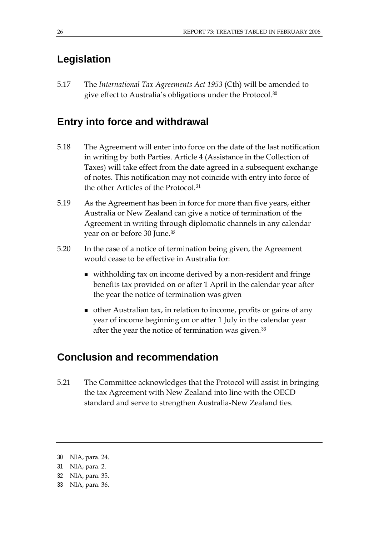# **Legislation**

5.17 The *International Tax Agreements Act 1953* (Cth) will be amended to give effect to Australia's obligations under the Protocol.[30](#page-5-0)

#### **Entry into force and withdrawal**

- 5.18 The Agreement will enter into force on the date of the last notification in writing by both Parties. Article 4 (Assistance in the Collection of Taxes) will take effect from the date agreed in a subsequent exchange of notes. This notification may not coincide with entry into force of the other Articles of the Protocol.[31](#page-5-1)
- 5.19 As the Agreement has been in force for more than five years, either Australia or New Zealand can give a notice of termination of the Agreement in writing through diplomatic channels in any calendar year on or before 30 June.[32](#page-5-2)
- 5.20 In the case of a notice of termination being given, the Agreement would cease to be effective in Australia for:
	- withholding tax on income derived by a non-resident and fringe benefits tax provided on or after 1 April in the calendar year after the year the notice of termination was given
	- other Australian tax, in relation to income, profits or gains of any year of income beginning on or after 1 July in the calendar year after the year the notice of termination was given.<sup>[33](#page-5-3)</sup>

#### **Conclusion and recommendation**

5.21 The Committee acknowledges that the Protocol will assist in bringing the tax Agreement with New Zealand into line with the OECD standard and serve to strengthen Australia-New Zealand ties.

<span id="page-5-0"></span><sup>30</sup> NIA, para. 24.

<span id="page-5-1"></span><sup>31</sup> NIA, para. 2.

<span id="page-5-2"></span><sup>32</sup> NIA, para. 35.

<span id="page-5-3"></span><sup>33</sup> NIA, para. 36.